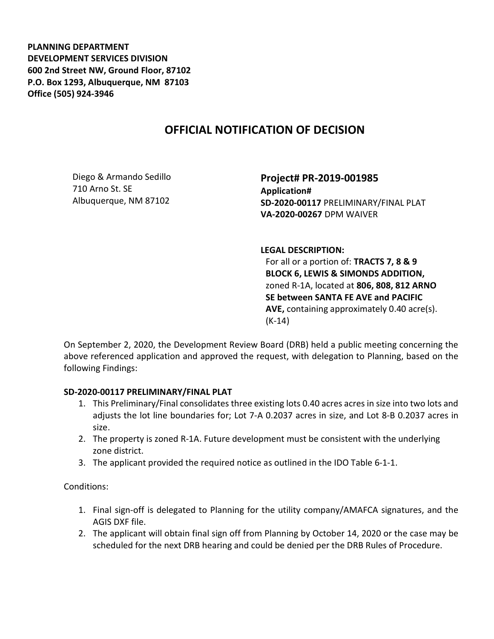PLANNING DEPARTMENT DEVELOPMENT SERVICES DIVISION 600 2nd Street NW, Ground Floor, 87102 P.O. Box 1293, Albuquerque, NM 87103 Office (505) 924-3946

## OFFICIAL NOTIFICATION OF DECISION

Diego & Armando Sedillo 710 Arno St. SE Albuquerque, NM 87102

Project# PR-2019-001985 Application# SD-2020-00117 PRELIMINARY/FINAL PLAT VA-2020-00267 DPM WAIVER

LEGAL DESCRIPTION:

For all or a portion of: TRACTS 7, 8 & 9 BLOCK 6, LEWIS & SIMONDS ADDITION, zoned R-1A, located at 806, 808, 812 ARNO SE between SANTA FE AVE and PACIFIC AVE, containing approximately 0.40 acre(s). (K-14)

On September 2, 2020, the Development Review Board (DRB) held a public meeting concerning the above referenced application and approved the request, with delegation to Planning, based on the following Findings:

## SD-2020-00117 PRELIMINARY/FINAL PLAT

- 1. This Preliminary/Final consolidates three existing lots 0.40 acres acres in size into two lots and adjusts the lot line boundaries for; Lot 7-A 0.2037 acres in size, and Lot 8-B 0.2037 acres in size.
- 2. The property is zoned R-1A. Future development must be consistent with the underlying zone district.
- 3. The applicant provided the required notice as outlined in the IDO Table 6-1-1.

Conditions:

- 1. Final sign-off is delegated to Planning for the utility company/AMAFCA signatures, and the AGIS DXF file.
- 2. The applicant will obtain final sign off from Planning by October 14, 2020 or the case may be scheduled for the next DRB hearing and could be denied per the DRB Rules of Procedure.